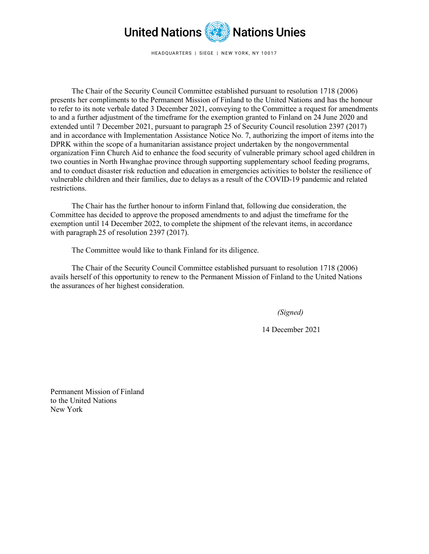

HEADQUARTERS | SIEGE | NEW YORK, NY 10017

The Chair of the Security Council Committee established pursuant to resolution 1718 (2006) presents her compliments to the Permanent Mission of Finland to the United Nations and has the honour to refer to its note verbale dated 3 December 2021, conveying to the Committee a request for amendments to and a further adjustment of the timeframe for the exemption granted to Finland on 24 June 2020 and extended until 7 December 2021, pursuant to paragraph 25 of Security Council resolution 2397 (2017) and in accordance with Implementation Assistance Notice No. 7, authorizing the import of items into the DPRK within the scope of a humanitarian assistance project undertaken by the nongovernmental organization Finn Church Aid to enhance the food security of vulnerable primary school aged children in two counties in North Hwanghae province through supporting supplementary school feeding programs, and to conduct disaster risk reduction and education in emergencies activities to bolster the resilience of vulnerable children and their families, due to delays as a result of the COVID-19 pandemic and related restrictions.

The Chair has the further honour to inform Finland that, following due consideration, the Committee has decided to approve the proposed amendments to and adjust the timeframe for the exemption until 14 December 2022, to complete the shipment of the relevant items, in accordance with paragraph 25 of resolution 2397 (2017).

The Committee would like to thank Finland for its diligence.

The Chair of the Security Council Committee established pursuant to resolution 1718 (2006) avails herself of this opportunity to renew to the Permanent Mission of Finland to the United Nations the assurances of her highest consideration.

*(Signed)* 

14 December 2021

Permanent Mission of Finland to the United Nations New York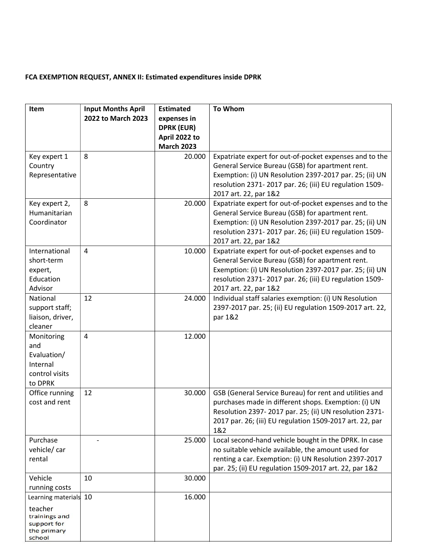## FCA EXEMPTION REQUEST, ANNEX II: Estimated expenditures inside DPRK

| Item                         | <b>Input Months April</b> | <b>Estimated</b>  | <b>To Whom</b>                                           |
|------------------------------|---------------------------|-------------------|----------------------------------------------------------|
|                              | 2022 to March 2023        | expenses in       |                                                          |
|                              |                           | <b>DPRK (EUR)</b> |                                                          |
|                              |                           | April 2022 to     |                                                          |
|                              |                           | <b>March 2023</b> |                                                          |
| Key expert 1                 | 8                         | 20.000            | Expatriate expert for out-of-pocket expenses and to the  |
| Country                      |                           |                   | General Service Bureau (GSB) for apartment rent.         |
| Representative               |                           |                   | Exemption: (i) UN Resolution 2397-2017 par. 25; (ii) UN  |
|                              |                           |                   | resolution 2371-2017 par. 26; (iii) EU regulation 1509-  |
|                              |                           |                   | 2017 art. 22, par 1&2                                    |
| Key expert 2,                | 8                         | 20.000            | Expatriate expert for out-of-pocket expenses and to the  |
| Humanitarian                 |                           |                   | General Service Bureau (GSB) for apartment rent.         |
| Coordinator                  |                           |                   | Exemption: (i) UN Resolution 2397-2017 par. 25; (ii) UN  |
|                              |                           |                   | resolution 2371-2017 par. 26; (iii) EU regulation 1509-  |
|                              |                           |                   | 2017 art. 22, par 1&2                                    |
| International                | $\overline{4}$            | 10.000            | Expatriate expert for out-of-pocket expenses and to      |
| short-term                   |                           |                   | General Service Bureau (GSB) for apartment rent.         |
| expert,                      |                           |                   | Exemption: (i) UN Resolution 2397-2017 par. 25; (ii) UN  |
| Education                    |                           |                   | resolution 2371-2017 par. 26; (iii) EU regulation 1509-  |
| Advisor                      |                           |                   | 2017 art. 22, par 1&2                                    |
| National                     | 12                        | 24.000            | Individual staff salaries exemption: (i) UN Resolution   |
| support staff;               |                           |                   | 2397-2017 par. 25; (ii) EU regulation 1509-2017 art. 22, |
| liaison, driver,             |                           |                   | par 1&2                                                  |
| cleaner                      |                           |                   |                                                          |
| Monitoring                   | $\overline{4}$            | 12.000            |                                                          |
| and                          |                           |                   |                                                          |
| Evaluation/                  |                           |                   |                                                          |
| Internal                     |                           |                   |                                                          |
| control visits               |                           |                   |                                                          |
| to DPRK                      |                           |                   |                                                          |
| Office running               | 12                        | 30.000            | GSB (General Service Bureau) for rent and utilities and  |
| cost and rent                |                           |                   | purchases made in different shops. Exemption: (i) UN     |
|                              |                           |                   | Resolution 2397-2017 par. 25; (ii) UN resolution 2371-   |
|                              |                           |                   | 2017 par. 26; (iii) EU regulation 1509-2017 art. 22, par |
|                              |                           |                   | 1&2                                                      |
| Purchase                     |                           | 25.000            | Local second-hand vehicle bought in the DPRK. In case    |
| vehicle/car                  |                           |                   | no suitable vehicle available, the amount used for       |
| rental                       |                           |                   | renting a car. Exemption: (i) UN Resolution 2397-2017    |
|                              |                           |                   | par. 25; (ii) EU regulation 1509-2017 art. 22, par 1&2   |
| Vehicle                      | 10                        | 30.000            |                                                          |
| running costs                |                           |                   |                                                          |
| Learning materials 10        |                           | 16.000            |                                                          |
| teacher                      |                           |                   |                                                          |
| trainings and<br>support for |                           |                   |                                                          |
| the primary                  |                           |                   |                                                          |
| school                       |                           |                   |                                                          |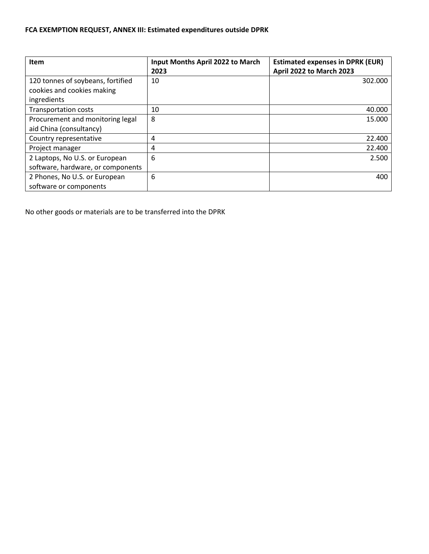## FCA EXEMPTION REQUEST, ANNEX III: Estimated expenditures outside DPRK

| <b>Item</b>                                                                    | Input Months April 2022 to March<br>2023 | <b>Estimated expenses in DPRK (EUR)</b><br>April 2022 to March 2023 |
|--------------------------------------------------------------------------------|------------------------------------------|---------------------------------------------------------------------|
| 120 tonnes of soybeans, fortified<br>cookies and cookies making<br>ingredients | 10                                       | 302.000                                                             |
| <b>Transportation costs</b>                                                    | 10                                       | 40.000                                                              |
| Procurement and monitoring legal<br>aid China (consultancy)                    | 8                                        | 15.000                                                              |
| Country representative                                                         | 4                                        | 22.400                                                              |
| Project manager                                                                | 4                                        | 22,400                                                              |
| 2 Laptops, No U.S. or European<br>software, hardware, or components            | 6                                        | 2.500                                                               |
| 2 Phones, No U.S. or European<br>software or components                        | 6                                        | 400                                                                 |

No other goods or materials are to be transferred into the DPRK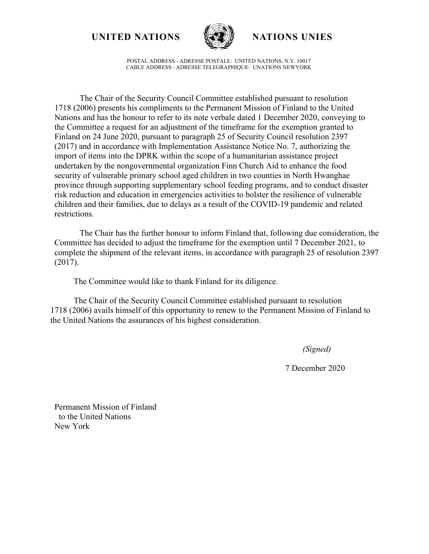**UNITED NATIONS NATIONS UNIES**



POSTAL ADDRESS - ADRESSE POSTALE: UNITED NATIONS, N.Y. 10017 CABLE ADDRESS - ADRESSE TELEGRAPHIQUE: UNATIONS NEWYORK

The Chair of the Security Council Committee established pursuant to resolution 1718 (2006) presents his compliments to the Permanent Mission of Finland to the United Nations and has the honour to refer to its note verbale dated 1 December 2020, conveying to the Committee a request for an adjustment of the timeframe for the exemption granted to Finland on 24 June 2020, pursuant to paragraph 25 of Security Council resolution 2397 (2017) and in accordance with Implementation Assistance Notice No. 7, authorizing the import of items into the DPRK within the scope of a humanitarian assistance project undertaken by the nongovernmental organization Finn Church Aid to enhance the food security of vulnerable primary school aged children in two counties in North Hwanghae province through supporting supplementary school feeding programs, and to conduct disaster risk reduction and education in emergencies activities to bolster the resilience of vulnerable children and their families, due to delays as a result of the COVID-19 pandemic and related restrictions.

The Chair has the further honour to inform Finland that, following due consideration, the Committee has decided to adjust the timeframe for the exemption until 7 December 2021, to complete the shipment of the relevant items, in accordance with paragraph 25 of resolution 2397 (2017).

The Committee would like to thank Finland for its diligence.

The Chair of the Security Council Committee established pursuant to resolution 1718 (2006) avails himself of this opportunity to renew to the Permanent Mission of Finland to the United Nations the assurances of his highest consideration.

*(Signed)*

7 December 2020

Permanent Mission of Finland to the United Nations New York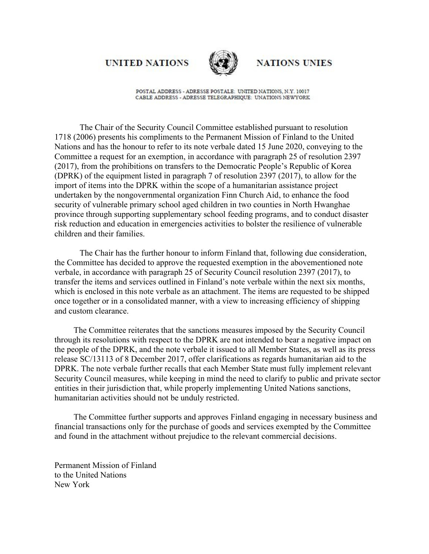## **UNITED NATIONS**



**NATIONS UNIES** 

POSTAL ADDRESS - ADRESSE POSTALE: UNITED NATIONS, N.Y. 10017 CABLE ADDRESS - ADRESSE TELEGRAPHIQUE: UNATIONS NEWYORK

The Chair of the Security Council Committee established pursuant to resolution 1718 (2006) presents his compliments to the Permanent Mission of Finland to the United Nations and has the honour to refer to its note verbale dated 15 June 2020, conveying to the Committee a request for an exemption, in accordance with paragraph 25 of resolution 2397 (2017), from the prohibitions on transfers to the Democratic People's Republic of Korea (DPRK) of the equipment listed in paragraph 7 of resolution 2397 (2017), to allow for the import of items into the DPRK within the scope of a humanitarian assistance project undertaken by the nongovernmental organization Finn Church Aid, to enhance the food security of vulnerable primary school aged children in two counties in North Hwanghae province through supporting supplementary school feeding programs, and to conduct disaster risk reduction and education in emergencies activities to bolster the resilience of vulnerable children and their families.

The Chair has the further honour to inform Finland that, following due consideration, the Committee has decided to approve the requested exemption in the abovementioned note verbale, in accordance with paragraph 25 of Security Council resolution 2397 (2017), to transfer the items and services outlined in Finland's note verbale within the next six months, which is enclosed in this note verbale as an attachment. The items are requested to be shipped once together or in a consolidated manner, with a view to increasing efficiency of shipping and custom clearance.

The Committee reiterates that the sanctions measures imposed by the Security Council through its resolutions with respect to the DPRK are not intended to bear a negative impact on the people of the DPRK, and the note verbale it issued to all Member States, as well as its press release SC/13113 of 8 December 2017, offer clarifications as regards humanitarian aid to the DPRK. The note verbale further recalls that each Member State must fully implement relevant Security Council measures, while keeping in mind the need to clarify to public and private sector entities in their jurisdiction that, while properly implementing United Nations sanctions, humanitarian activities should not be unduly restricted.

The Committee further supports and approves Finland engaging in necessary business and financial transactions only for the purchase of goods and services exempted by the Committee and found in the attachment without prejudice to the relevant commercial decisions.

Permanent Mission of Finland to the United Nations New York